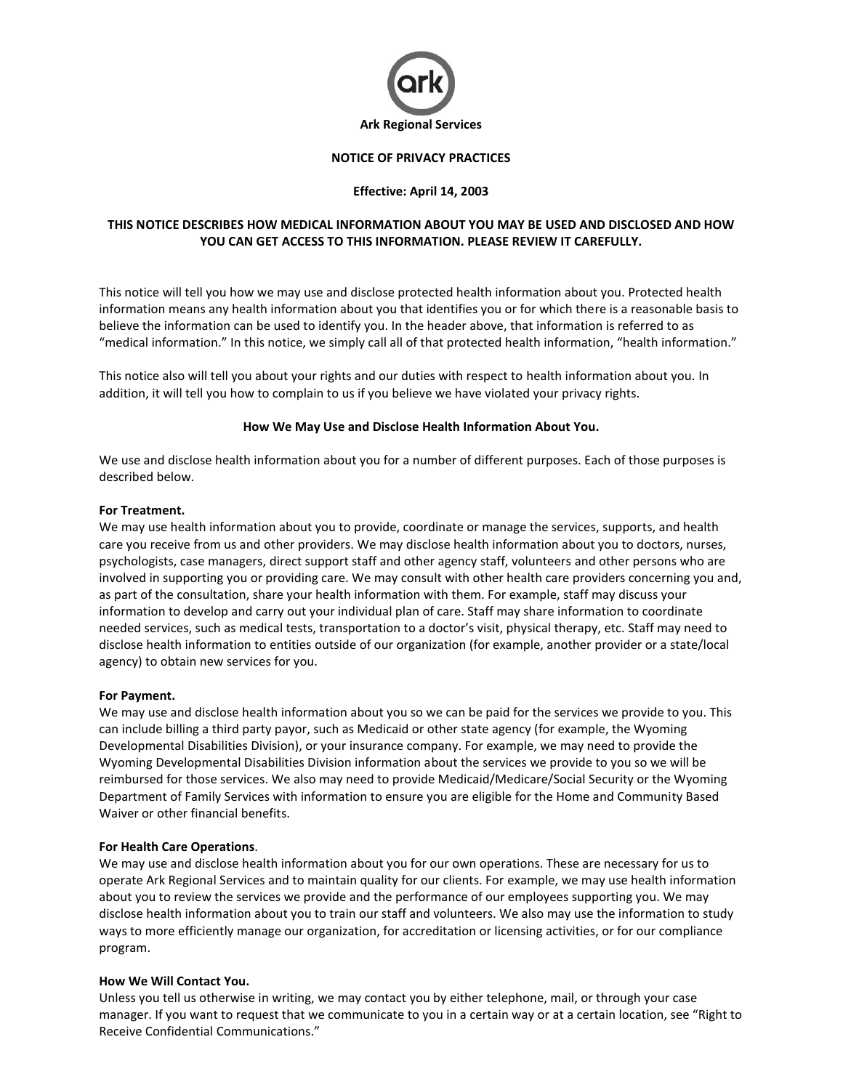

# **NOTICE OF PRIVACY PRACTICES**

## **Effective: April 14, 2003**

# **THIS NOTICE DESCRIBES HOW MEDICAL INFORMATION ABOUT YOU MAY BE USED AND DISCLOSED AND HOW YOU CAN GET ACCESS TO THIS INFORMATION. PLEASE REVIEW IT CAREFULLY.**

This notice will tell you how we may use and disclose protected health information about you. Protected health information means any health information about you that identifies you or for which there is a reasonable basis to believe the information can be used to identify you. In the header above, that information is referred to as "medical information." In this notice, we simply call all of that protected health information, "health information."

This notice also will tell you about your rights and our duties with respect to health information about you. In addition, it will tell you how to complain to us if you believe we have violated your privacy rights.

#### **How We May Use and Disclose Health Information About You.**

We use and disclose health information about you for a number of different purposes. Each of those purposes is described below.

#### **For Treatment.**

We may use health information about you to provide, coordinate or manage the services, supports, and health care you receive from us and other providers. We may disclose health information about you to doctors, nurses, psychologists, case managers, direct support staff and other agency staff, volunteers and other persons who are involved in supporting you or providing care. We may consult with other health care providers concerning you and, as part of the consultation, share your health information with them. For example, staff may discuss your information to develop and carry out your individual plan of care. Staff may share information to coordinate needed services, such as medical tests, transportation to a doctor's visit, physical therapy, etc. Staff may need to disclose health information to entities outside of our organization (for example, another provider or a state/local agency) to obtain new services for you.

#### **For Payment.**

We may use and disclose health information about you so we can be paid for the services we provide to you. This can include billing a third party payor, such as Medicaid or other state agency (for example, the Wyoming Developmental Disabilities Division), or your insurance company. For example, we may need to provide the Wyoming Developmental Disabilities Division information about the services we provide to you so we will be reimbursed for those services. We also may need to provide Medicaid/Medicare/Social Security or the Wyoming Department of Family Services with information to ensure you are eligible for the Home and Community Based Waiver or other financial benefits.

# **For Health Care Operations**.

We may use and disclose health information about you for our own operations. These are necessary for us to operate Ark Regional Services and to maintain quality for our clients. For example, we may use health information about you to review the services we provide and the performance of our employees supporting you. We may disclose health information about you to train our staff and volunteers. We also may use the information to study ways to more efficiently manage our organization, for accreditation or licensing activities, or for our compliance program.

# **How We Will Contact You.**

Unless you tell us otherwise in writing, we may contact you by either telephone, mail, or through your case manager. If you want to request that we communicate to you in a certain way or at a certain location, see "Right to Receive Confidential Communications."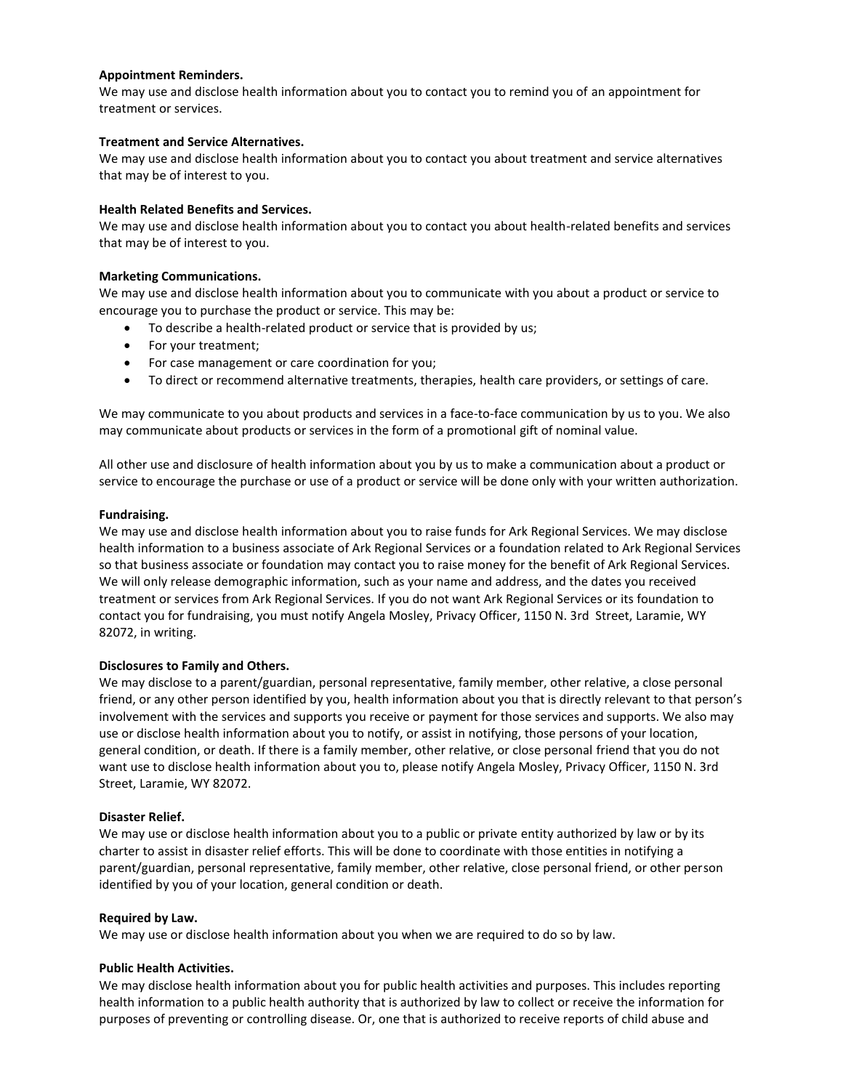### **Appointment Reminders.**

We may use and disclose health information about you to contact you to remind you of an appointment for treatment or services.

### **Treatment and Service Alternatives.**

We may use and disclose health information about you to contact you about treatment and service alternatives that may be of interest to you.

### **Health Related Benefits and Services.**

We may use and disclose health information about you to contact you about health-related benefits and services that may be of interest to you.

## **Marketing Communications.**

We may use and disclose health information about you to communicate with you about a product or service to encourage you to purchase the product or service. This may be:

- To describe a health-related product or service that is provided by us;
- For your treatment;
- For case management or care coordination for you;
- To direct or recommend alternative treatments, therapies, health care providers, or settings of care.

We may communicate to you about products and services in a face-to-face communication by us to you. We also may communicate about products or services in the form of a promotional gift of nominal value.

All other use and disclosure of health information about you by us to make a communication about a product or service to encourage the purchase or use of a product or service will be done only with your written authorization.

## **Fundraising.**

We may use and disclose health information about you to raise funds for Ark Regional Services. We may disclose health information to a business associate of Ark Regional Services or a foundation related to Ark Regional Services so that business associate or foundation may contact you to raise money for the benefit of Ark Regional Services. We will only release demographic information, such as your name and address, and the dates you received treatment or services from Ark Regional Services. If you do not want Ark Regional Services or its foundation to contact you for fundraising, you must notify Angela Mosley, Privacy Officer, 1150 N. 3rd Street, Laramie, WY 82072, in writing.

# **Disclosures to Family and Others.**

We may disclose to a parent/guardian, personal representative, family member, other relative, a close personal friend, or any other person identified by you, health information about you that is directly relevant to that person's involvement with the services and supports you receive or payment for those services and supports. We also may use or disclose health information about you to notify, or assist in notifying, those persons of your location, general condition, or death. If there is a family member, other relative, or close personal friend that you do not want use to disclose health information about you to, please notify Angela Mosley, Privacy Officer, 1150 N. 3rd Street, Laramie, WY 82072.

#### **Disaster Relief.**

We may use or disclose health information about you to a public or private entity authorized by law or by its charter to assist in disaster relief efforts. This will be done to coordinate with those entities in notifying a parent/guardian, personal representative, family member, other relative, close personal friend, or other person identified by you of your location, general condition or death.

#### **Required by Law.**

We may use or disclose health information about you when we are required to do so by law.

#### **Public Health Activities.**

We may disclose health information about you for public health activities and purposes. This includes reporting health information to a public health authority that is authorized by law to collect or receive the information for purposes of preventing or controlling disease. Or, one that is authorized to receive reports of child abuse and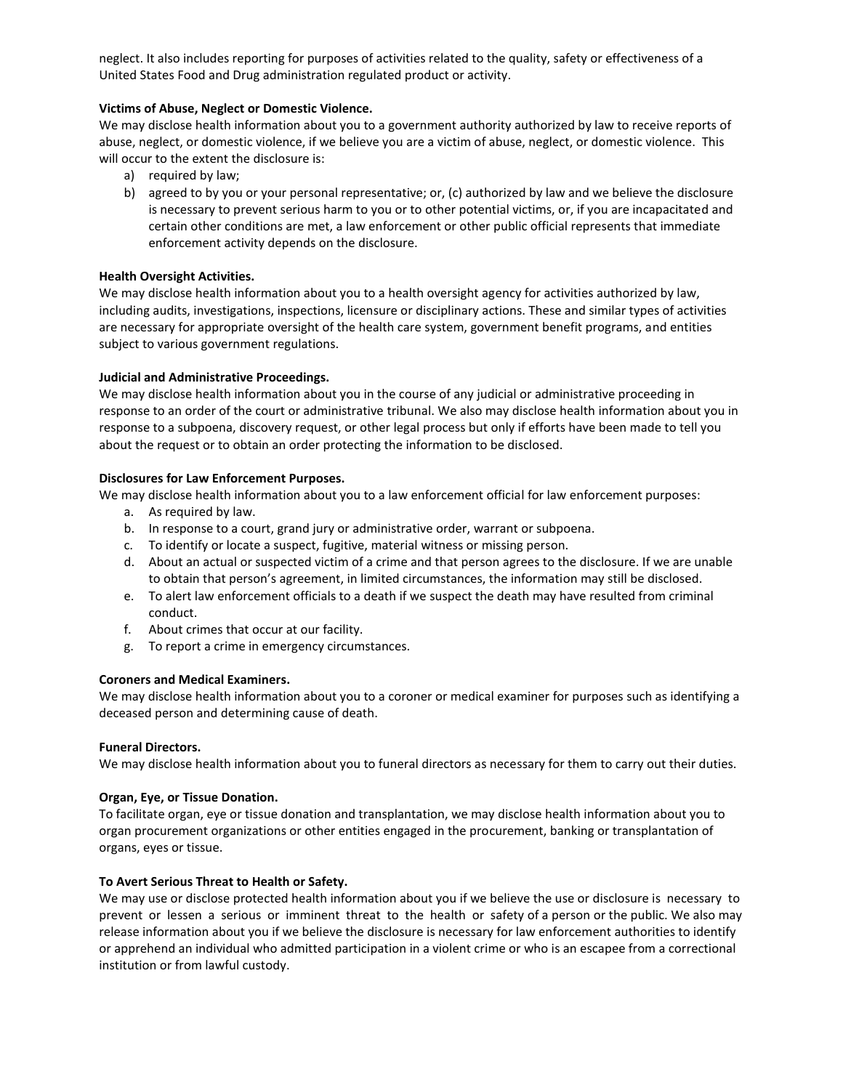neglect. It also includes reporting for purposes of activities related to the quality, safety or effectiveness of a United States Food and Drug administration regulated product or activity.

## **Victims of Abuse, Neglect or Domestic Violence.**

We may disclose health information about you to a government authority authorized by law to receive reports of abuse, neglect, or domestic violence, if we believe you are a victim of abuse, neglect, or domestic violence. This will occur to the extent the disclosure is:

- a) required by law;
- b) agreed to by you or your personal representative; or, (c) authorized by law and we believe the disclosure is necessary to prevent serious harm to you or to other potential victims, or, if you are incapacitated and certain other conditions are met, a law enforcement or other public official represents that immediate enforcement activity depends on the disclosure.

## **Health Oversight Activities.**

We may disclose health information about you to a health oversight agency for activities authorized by law, including audits, investigations, inspections, licensure or disciplinary actions. These and similar types of activities are necessary for appropriate oversight of the health care system, government benefit programs, and entities subject to various government regulations.

## **Judicial and Administrative Proceedings.**

We may disclose health information about you in the course of any judicial or administrative proceeding in response to an order of the court or administrative tribunal. We also may disclose health information about you in response to a subpoena, discovery request, or other legal process but only if efforts have been made to tell you about the request or to obtain an order protecting the information to be disclosed.

## **Disclosures for Law Enforcement Purposes.**

We may disclose health information about you to a law enforcement official for law enforcement purposes:

- a. As required by law.
- b. In response to a court, grand jury or administrative order, warrant or subpoena.
- c. To identify or locate a suspect, fugitive, material witness or missing person.
- d. About an actual or suspected victim of a crime and that person agrees to the disclosure. If we are unable to obtain that person's agreement, in limited circumstances, the information may still be disclosed.
- e. To alert law enforcement officials to a death if we suspect the death may have resulted from criminal conduct.
- f. About crimes that occur at our facility.
- g. To report a crime in emergency circumstances.

## **Coroners and Medical Examiners.**

We may disclose health information about you to a coroner or medical examiner for purposes such as identifying a deceased person and determining cause of death.

#### **Funeral Directors.**

We may disclose health information about you to funeral directors as necessary for them to carry out their duties.

#### **Organ, Eye, or Tissue Donation.**

To facilitate organ, eye or tissue donation and transplantation, we may disclose health information about you to organ procurement organizations or other entities engaged in the procurement, banking or transplantation of organs, eyes or tissue.

#### **To Avert Serious Threat to Health or Safety.**

We may use or disclose protected health information about you if we believe the use or disclosure is necessary to prevent or lessen a serious or imminent threat to the health or safety of a person or the public. We also may release information about you if we believe the disclosure is necessary for law enforcement authorities to identify or apprehend an individual who admitted participation in a violent crime or who is an escapee from a correctional institution or from lawful custody.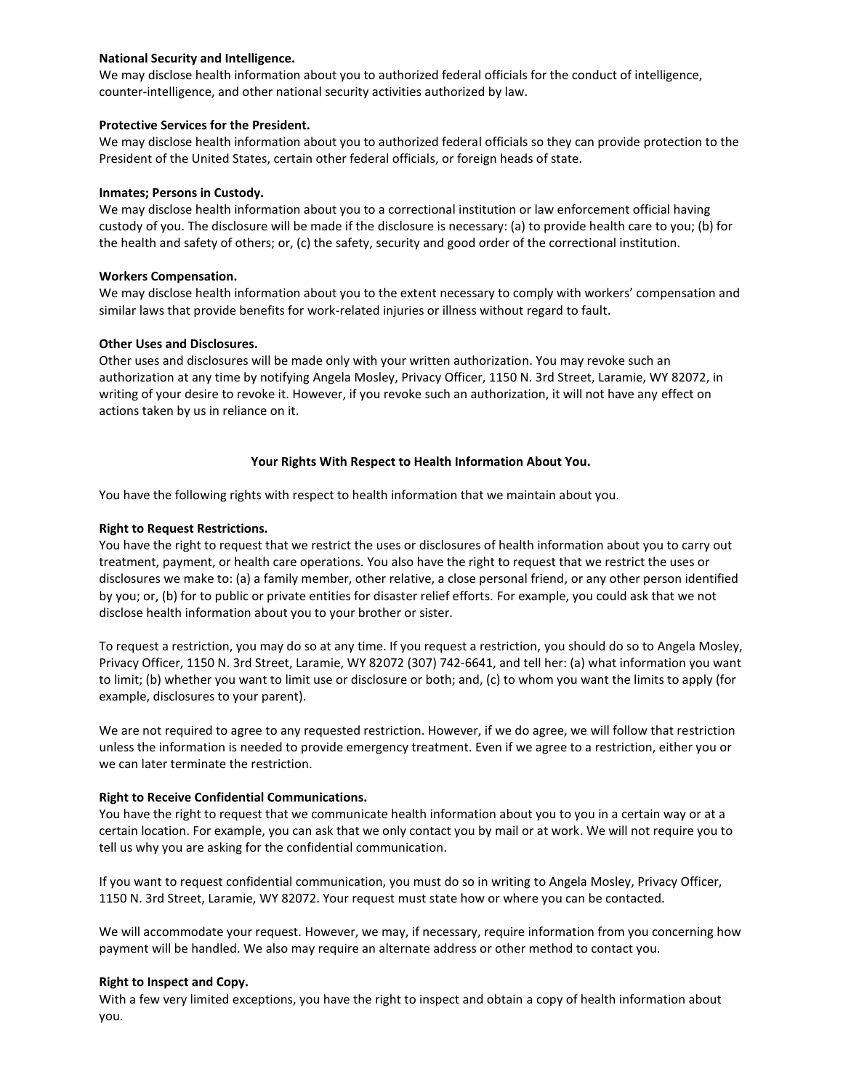## **National Security and Intelligence.**

We may disclose health information about you to authorized federal officials for the conduct of intelligence, counter-intelligence, and other national security activities authorized by law.

## **Protective Services for the President.**

We may disclose health information about you to authorized federal officials so they can provide protection to the President of the United States, certain other federal officials, or foreign heads of state.

### **Inmates; Persons in Custody.**

We may disclose health information about you to a correctional institution or law enforcement official having custody of you. The disclosure will be made if the disclosure is necessary: (a) to provide health care to you; (b) for the health and safety of others; or, (c) the safety, security and good order of the correctional institution.

## **Workers Compensation.**

We may disclose health information about you to the extent necessary to comply with workers' compensation and similar laws that provide benefits for work-related injuries or illness without regard to fault.

## **Other Uses and Disclosures.**

Other uses and disclosures will be made only with your written authorization. You may revoke such an authorization at any time by notifying Angela Mosley, Privacy Officer, 1150 N. 3rd Street, Laramie, WY 82072, in writing of your desire to revoke it. However, if you revoke such an authorization, it will not have any effect on actions taken by us in reliance on it.

## **Your Rights With Respect to Health Information About You.**

You have the following rights with respect to health information that we maintain about you.

## **Right to Request Restrictions.**

You have the right to request that we restrict the uses or disclosures of health information about you to carry out treatment, payment, or health care operations. You also have the right to request that we restrict the uses or disclosures we make to: (a) a family member, other relative, a close personal friend, or any other person identified by you; or, (b) for to public or private entities for disaster relief efforts. For example, you could ask that we not disclose health information about you to your brother or sister.

To request a restriction, you may do so at any time. If you request a restriction, you should do so to Angela Mosley, Privacy Officer, 1150 N. 3rd Street, Laramie, WY 82072 (307) 742-6641, and tell her: (a) what information you want to limit; (b) whether you want to limit use or disclosure or both; and, (c) to whom you want the limits to apply (for example, disclosures to your parent).

We are not required to agree to any requested restriction. However, if we do agree, we will follow that restriction unless the information is needed to provide emergency treatment. Even if we agree to a restriction, either you or we can later terminate the restriction.

# **Right to Receive Confidential Communications.**

You have the right to request that we communicate health information about you to you in a certain way or at a certain location. For example, you can ask that we only contact you by mail or at work. We will not require you to tell us why you are asking for the confidential communication.

If you want to request confidential communication, you must do so in writing to Angela Mosley, Privacy Officer, 1150 N. 3rd Street, Laramie, WY 82072. Your request must state how or where you can be contacted.

We will accommodate your request. However, we may, if necessary, require information from you concerning how payment will be handled. We also may require an alternate address or other method to contact you.

#### **Right to Inspect and Copy.**

With a few very limited exceptions, you have the right to inspect and obtain a copy of health information about you.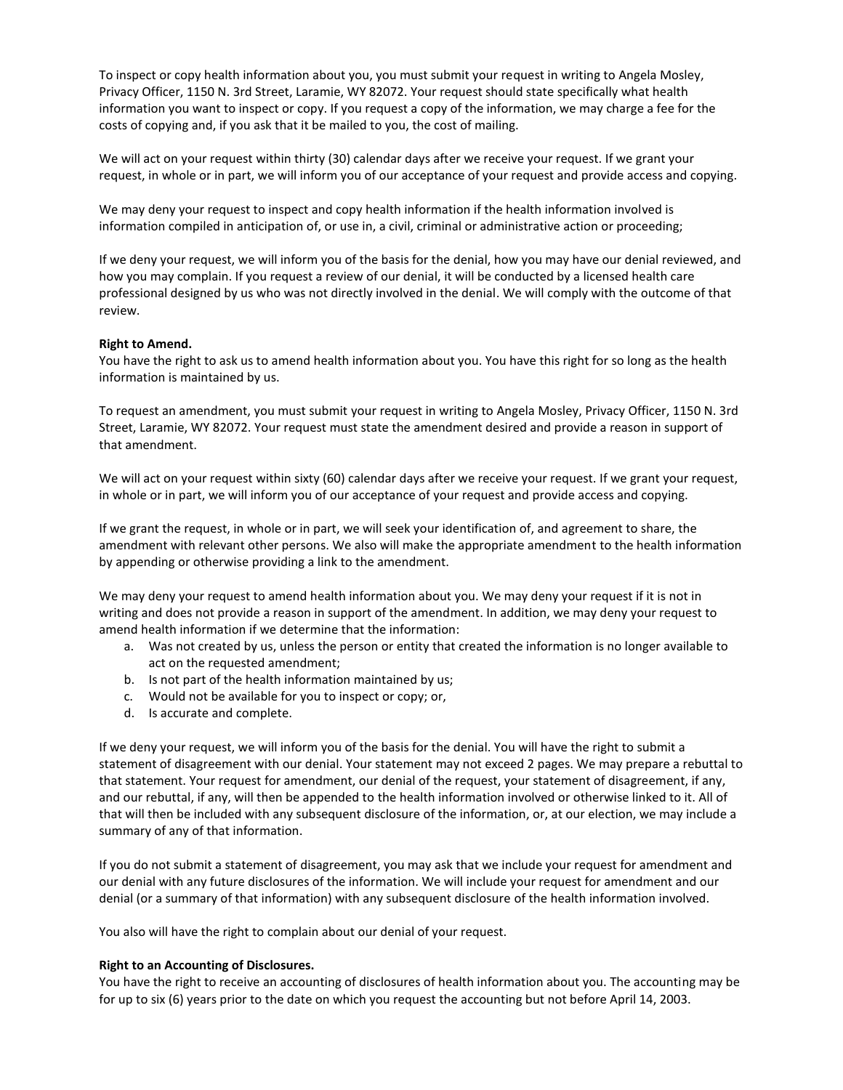To inspect or copy health information about you, you must submit your request in writing to Angela Mosley, Privacy Officer, 1150 N. 3rd Street, Laramie, WY 82072. Your request should state specifically what health information you want to inspect or copy. If you request a copy of the information, we may charge a fee for the costs of copying and, if you ask that it be mailed to you, the cost of mailing.

We will act on your request within thirty (30) calendar days after we receive your request. If we grant your request, in whole or in part, we will inform you of our acceptance of your request and provide access and copying.

We may deny your request to inspect and copy health information if the health information involved is information compiled in anticipation of, or use in, a civil, criminal or administrative action or proceeding;

If we deny your request, we will inform you of the basis for the denial, how you may have our denial reviewed, and how you may complain. If you request a review of our denial, it will be conducted by a licensed health care professional designed by us who was not directly involved in the denial. We will comply with the outcome of that review.

#### **Right to Amend.**

You have the right to ask us to amend health information about you. You have this right for so long as the health information is maintained by us.

To request an amendment, you must submit your request in writing to Angela Mosley, Privacy Officer, 1150 N. 3rd Street, Laramie, WY 82072. Your request must state the amendment desired and provide a reason in support of that amendment.

We will act on your request within sixty (60) calendar days after we receive your request. If we grant your request, in whole or in part, we will inform you of our acceptance of your request and provide access and copying.

If we grant the request, in whole or in part, we will seek your identification of, and agreement to share, the amendment with relevant other persons. We also will make the appropriate amendment to the health information by appending or otherwise providing a link to the amendment.

We may deny your request to amend health information about you. We may deny your request if it is not in writing and does not provide a reason in support of the amendment. In addition, we may deny your request to amend health information if we determine that the information:

- a. Was not created by us, unless the person or entity that created the information is no longer available to act on the requested amendment;
- b. Is not part of the health information maintained by us;
- c. Would not be available for you to inspect or copy; or,
- d. Is accurate and complete.

If we deny your request, we will inform you of the basis for the denial. You will have the right to submit a statement of disagreement with our denial. Your statement may not exceed 2 pages. We may prepare a rebuttal to that statement. Your request for amendment, our denial of the request, your statement of disagreement, if any, and our rebuttal, if any, will then be appended to the health information involved or otherwise linked to it. All of that will then be included with any subsequent disclosure of the information, or, at our election, we may include a summary of any of that information.

If you do not submit a statement of disagreement, you may ask that we include your request for amendment and our denial with any future disclosures of the information. We will include your request for amendment and our denial (or a summary of that information) with any subsequent disclosure of the health information involved.

You also will have the right to complain about our denial of your request.

#### **Right to an Accounting of Disclosures.**

You have the right to receive an accounting of disclosures of health information about you. The accounting may be for up to six (6) years prior to the date on which you request the accounting but not before April 14, 2003.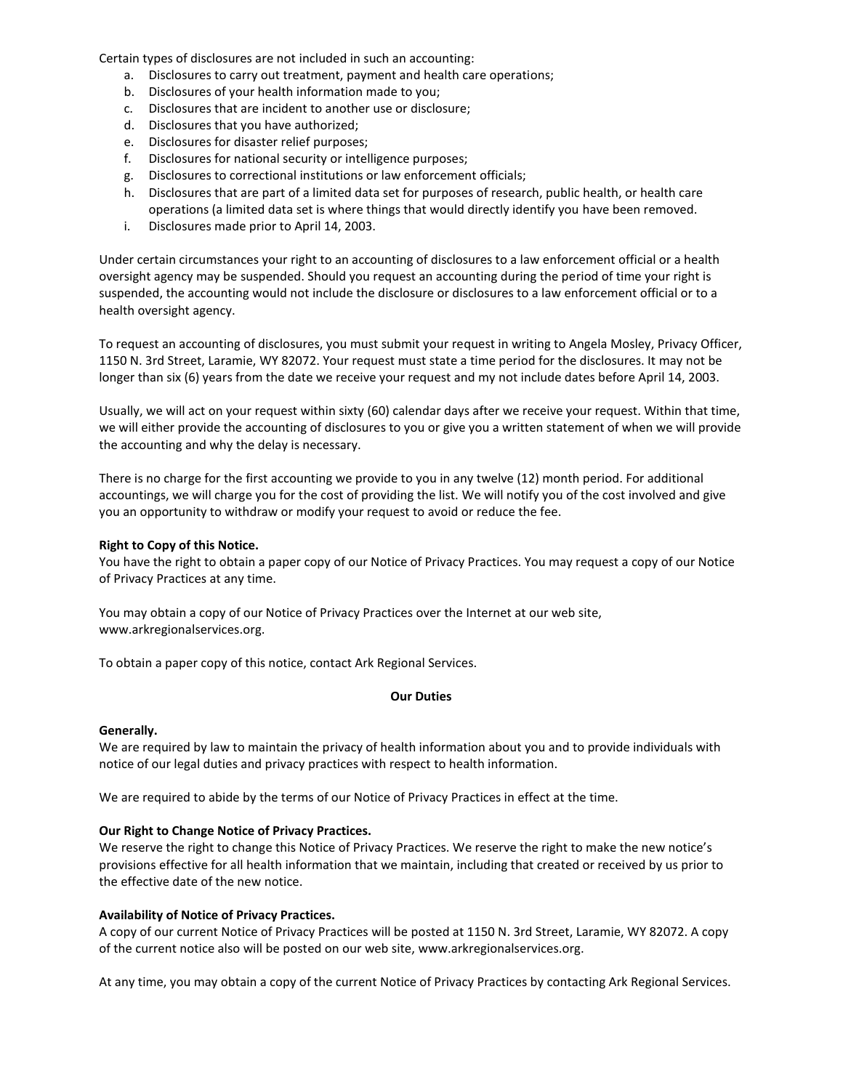Certain types of disclosures are not included in such an accounting:

- a. Disclosures to carry out treatment, payment and health care operations;
- b. Disclosures of your health information made to you;
- c. Disclosures that are incident to another use or disclosure;
- d. Disclosures that you have authorized;
- e. Disclosures for disaster relief purposes;
- f. Disclosures for national security or intelligence purposes;
- g. Disclosures to correctional institutions or law enforcement officials;
- h. Disclosures that are part of a limited data set for purposes of research, public health, or health care operations (a limited data set is where things that would directly identify you have been removed.
- i. Disclosures made prior to April 14, 2003.

Under certain circumstances your right to an accounting of disclosures to a law enforcement official or a health oversight agency may be suspended. Should you request an accounting during the period of time your right is suspended, the accounting would not include the disclosure or disclosures to a law enforcement official or to a health oversight agency.

To request an accounting of disclosures, you must submit your request in writing to Angela Mosley, Privacy Officer, 1150 N. 3rd Street, Laramie, WY 82072. Your request must state a time period for the disclosures. It may not be longer than six (6) years from the date we receive your request and my not include dates before April 14, 2003.

Usually, we will act on your request within sixty (60) calendar days after we receive your request. Within that time, we will either provide the accounting of disclosures to you or give you a written statement of when we will provide the accounting and why the delay is necessary.

There is no charge for the first accounting we provide to you in any twelve (12) month period. For additional accountings, we will charge you for the cost of providing the list. We will notify you of the cost involved and give you an opportunity to withdraw or modify your request to avoid or reduce the fee.

#### **Right to Copy of this Notice.**

You have the right to obtain a paper copy of our Notice of Privacy Practices. You may request a copy of our Notice of Privacy Practices at any time.

You may obtain a copy of our Notice of Privacy Practices over the Internet at our web site, www.arkregionalservices.org.

To obtain a paper copy of this notice, contact Ark Regional Services.

#### **Our Duties**

#### **Generally.**

We are required by law to maintain the privacy of health information about you and to provide individuals with notice of our legal duties and privacy practices with respect to health information.

We are required to abide by the terms of our Notice of Privacy Practices in effect at the time.

#### **Our Right to Change Notice of Privacy Practices.**

We reserve the right to change this Notice of Privacy Practices. We reserve the right to make the new notice's provisions effective for all health information that we maintain, including that created or received by us prior to the effective date of the new notice.

#### **Availability of Notice of Privacy Practices.**

A copy of our current Notice of Privacy Practices will be posted at 1150 N. 3rd Street, Laramie, WY 82072. A copy of the current notice also will be posted on our web site, www.arkregionalservices.org.

At any time, you may obtain a copy of the current Notice of Privacy Practices by contacting Ark Regional Services.